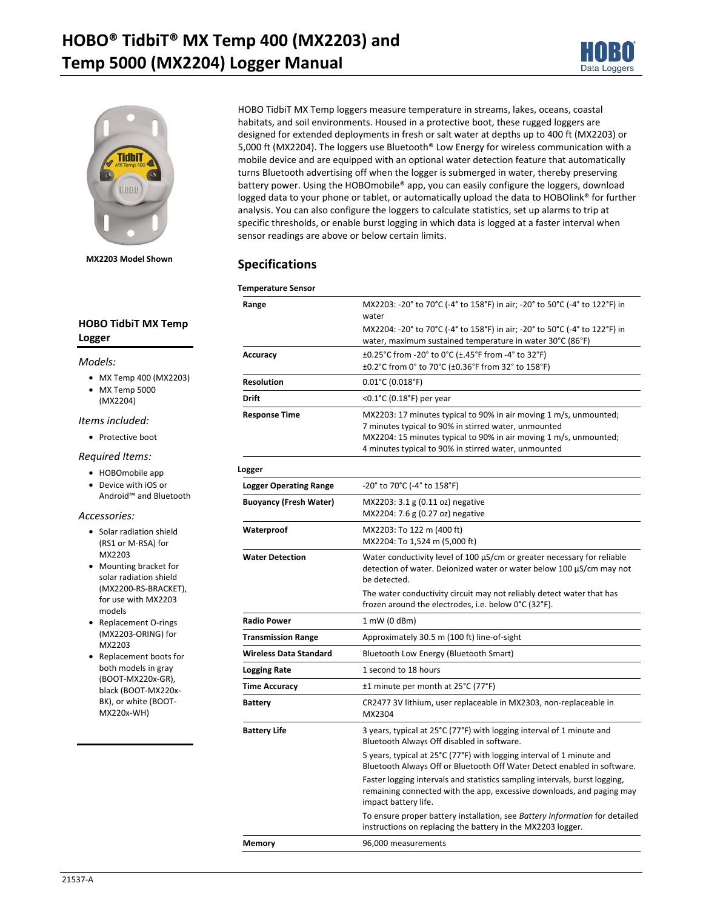



**MX2203 Model Shown** 

### **HOBO TidbiT MX Temp Logger**

#### *Models:*

- MX Temp 400 (MX2203)
- MX Temp 5000
- (MX2204)

### *Items included:*

• Protective boot

#### *Required Items:*

- HOBOmobile app
- Device with iOS or Android™ and Bluetooth

#### *Accessories:*

- Solar radiation shield (RS1 or M-RSA) for MX2203
- Mounting bracket for solar radiation shield (MX2200-RS-BRACKET), for use with MX2203 models
- Replacement O-rings (MX2203-ORING) for MX2203
- Replacement boots for both models in gray (BOOT-MX220x-GR), black (BOOT-MX220x-BK), or white (BOOT-MX220x-WH)

HOBO TidbiT MX Temp loggers measure temperature in streams, lakes, oceans, coastal habitats, and soil environments. Housed in a protective boot, these rugged loggers are designed for extended deployments in fresh or salt water at depths up to 400 ft (MX2203) or 5,000 ft (MX2204). The loggers use Bluetooth® Low Energy for wireless communication with a mobile device and are equipped with an optional water detection feature that automatically turns Bluetooth advertising off when the logger is submerged in water, thereby preserving battery power. Using the HOBOmobile® app, you can easily configure the loggers, download logged data to your phone or tablet, or automatically upload the data to HOBOlink® for further analysis. You can also configure the loggers to calculate statistics, set up alarms to trip at specific thresholds, or enable burst logging in which data is logged at a faster interval when sensor readings are above or below certain limits.

## **Specifications**

| <b>Temperature Sensor</b>     |                                                                                                                                                                                                                                                        |  |
|-------------------------------|--------------------------------------------------------------------------------------------------------------------------------------------------------------------------------------------------------------------------------------------------------|--|
| Range                         | MX2203: -20° to 70°C (-4° to 158°F) in air; -20° to 50°C (-4° to 122°F) in<br>water<br>MX2204: -20° to 70°C (-4° to 158°F) in air; -20° to 50°C (-4° to 122°F) in                                                                                      |  |
|                               | water, maximum sustained temperature in water 30°C (86°F)                                                                                                                                                                                              |  |
| Accuracy                      | ±0.25°C from -20° to 0°C (±.45°F from -4° to 32°F)<br>±0.2°C from 0° to 70°C (±0.36°F from 32° to 158°F)                                                                                                                                               |  |
| <b>Resolution</b>             | $0.01^{\circ}$ C (0.018°F)                                                                                                                                                                                                                             |  |
| Drift                         | <0.1°C (0.18°F) per year                                                                                                                                                                                                                               |  |
| <b>Response Time</b>          | MX2203: 17 minutes typical to 90% in air moving 1 m/s, unmounted;<br>7 minutes typical to 90% in stirred water, unmounted<br>MX2204: 15 minutes typical to 90% in air moving 1 m/s, unmounted;<br>4 minutes typical to 90% in stirred water, unmounted |  |
| Logger                        |                                                                                                                                                                                                                                                        |  |
| <b>Logger Operating Range</b> | -20° to 70°C (-4° to 158°F)                                                                                                                                                                                                                            |  |
| <b>Buoyancy (Fresh Water)</b> | MX2203: 3.1 g (0.11 oz) negative<br>MX2204: 7.6 g (0.27 oz) negative                                                                                                                                                                                   |  |
| Waterproof                    | MX2203: To 122 m (400 ft)<br>MX2204: To 1,524 m (5,000 ft)                                                                                                                                                                                             |  |
| <b>Water Detection</b>        | Water conductivity level of 100 µS/cm or greater necessary for reliable<br>detection of water. Deionized water or water below 100 µS/cm may not<br>be detected.                                                                                        |  |
|                               | The water conductivity circuit may not reliably detect water that has<br>frozen around the electrodes, i.e. below 0°C (32°F).                                                                                                                          |  |
| <b>Radio Power</b>            | 1 mW (0 dBm)                                                                                                                                                                                                                                           |  |
| <b>Transmission Range</b>     | Approximately 30.5 m (100 ft) line-of-sight                                                                                                                                                                                                            |  |
| <b>Wireless Data Standard</b> | Bluetooth Low Energy (Bluetooth Smart)                                                                                                                                                                                                                 |  |
| <b>Logging Rate</b>           | 1 second to 18 hours                                                                                                                                                                                                                                   |  |
| <b>Time Accuracy</b>          | ±1 minute per month at 25°C (77°F)                                                                                                                                                                                                                     |  |
| <b>Battery</b>                | CR2477 3V lithium, user replaceable in MX2303, non-replaceable in<br>MX2304                                                                                                                                                                            |  |
| <b>Battery Life</b>           | 3 years, typical at 25°C (77°F) with logging interval of 1 minute and<br>Bluetooth Always Off disabled in software.                                                                                                                                    |  |
|                               | 5 years, typical at 25°C (77°F) with logging interval of 1 minute and<br>Bluetooth Always Off or Bluetooth Off Water Detect enabled in software.                                                                                                       |  |
|                               | Faster logging intervals and statistics sampling intervals, burst logging,<br>remaining connected with the app, excessive downloads, and paging may<br>impact battery life.                                                                            |  |
|                               | To ensure proper battery installation, see Battery Information for detailed<br>instructions on replacing the battery in the MX2203 logger.                                                                                                             |  |
| Memory                        | 96,000 measurements                                                                                                                                                                                                                                    |  |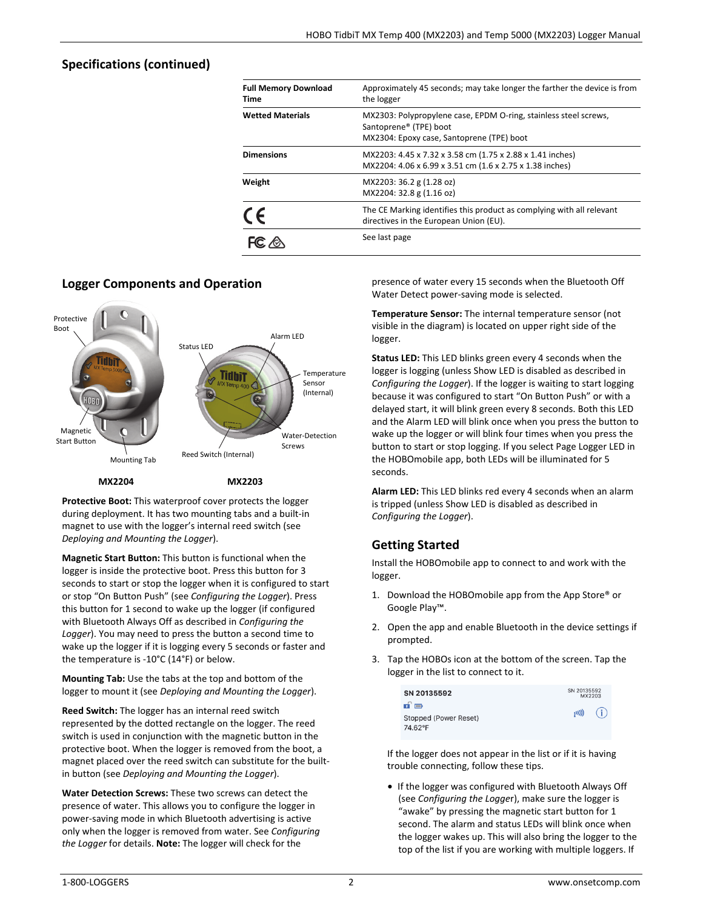# **Specifications (continued)**

| <b>Full Memory Download</b><br>Time | Approximately 45 seconds; may take longer the farther the device is from<br>the logger                                                              |
|-------------------------------------|-----------------------------------------------------------------------------------------------------------------------------------------------------|
| <b>Wetted Materials</b>             | MX2303: Polypropylene case, EPDM O-ring, stainless steel screws,<br>Santoprene <sup>®</sup> (TPE) boot<br>MX2304: Epoxy case, Santoprene (TPE) boot |
| <b>Dimensions</b>                   | MX2203: 4.45 x 7.32 x 3.58 cm (1.75 x 2.88 x 1.41 inches)<br>MX2204: 4.06 x 6.99 x 3.51 cm (1.6 x 2.75 x 1.38 inches)                               |
| Weight                              | MX2203: 36.2 g (1.28 oz)<br>MX2204: 32.8 g (1.16 oz)                                                                                                |
| CE                                  | The CE Marking identifies this product as complying with all relevant<br>directives in the European Union (EU).                                     |
|                                     | See last page                                                                                                                                       |

# **Logger Components and Operation**



**Protective Boot:** This waterproof cover protects the logger during deployment. It has two mounting tabs and a built-in magnet to use with the logger's internal reed switch (see *Deploying and Mounting the Logger*).

**Magnetic Start Button:** This button is functional when the logger is inside the protective boot. Press this button for 3 seconds to start or stop the logger when it is configured to start or stop "On Button Push" (see *Configuring the Logger*). Press this button for 1 second to wake up the logger (if configured with Bluetooth Always Off as described in *Configuring the Logger*). You may need to press the button a second time to wake up the logger if it is logging every 5 seconds or faster and the temperature is -10°C (14°F) or below.

**Mounting Tab:** Use the tabs at the top and bottom of the logger to mount it (see *Deploying and Mounting the Logger*).

**Reed Switch:** The logger has an internal reed switch represented by the dotted rectangle on the logger. The reed switch is used in conjunction with the magnetic button in the protective boot. When the logger is removed from the boot, a magnet placed over the reed switch can substitute for the builtin button (see *Deploying and Mounting the Logger*).

**Water Detection Screws:** These two screws can detect the presence of water. This allows you to configure the logger in power-saving mode in which Bluetooth advertising is active only when the logger is removed from water. See *Configuring the Logger* for details. **Note:** The logger will check for the

presence of water every 15 seconds when the Bluetooth Off Water Detect power-saving mode is selected.

**Temperature Sensor:** The internal temperature sensor (not visible in the diagram) is located on upper right side of the logger.

**Status LED:** This LED blinks green every 4 seconds when the logger is logging (unless Show LED is disabled as described in *Configuring the Logger*). If the logger is waiting to start logging because it was configured to start "On Button Push" or with a delayed start, it will blink green every 8 seconds. Both this LED and the Alarm LED will blink once when you press the button to wake up the logger or will blink four times when you press the button to start or stop logging. If you select Page Logger LED in the HOBOmobile app, both LEDs will be illuminated for 5 seconds.

**Alarm LED:** This LED blinks red every 4 seconds when an alarm is tripped (unless Show LED is disabled as described in *Configuring the Logger*).

# **Getting Started**

Install the HOBOmobile app to connect to and work with the logger.

- 1. Download the HOBOmobile app from the App Store® or Google Play™.
- 2. Open the app and enable Bluetooth in the device settings if prompted.
- 3. Tap the HOBOs icon at the bottom of the screen. Tap the logger in the list to connect to it.

| SN 20135592                             |       | SN 20135592<br>MX2203 |  |
|-----------------------------------------|-------|-----------------------|--|
| n o<br>Stopped (Power Reset)<br>74.62°F | (101) | (i)                   |  |

If the logger does not appear in the list or if it is having trouble connecting, follow these tips.

• If the logger was configured with Bluetooth Always Off (see *Configuring the Logge*r), make sure the logger is "awake" by pressing the magnetic start button for 1 second. The alarm and status LEDs will blink once when the logger wakes up. This will also bring the logger to the top of the list if you are working with multiple loggers. If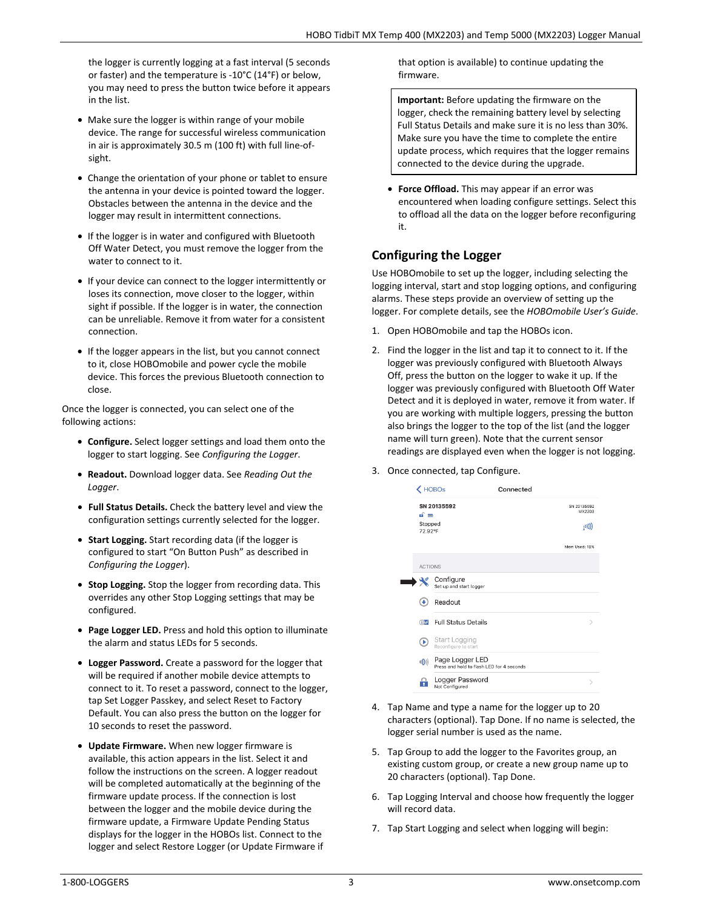the logger is currently logging at a fast interval (5 seconds or faster) and the temperature is -10°C (14°F) or below, you may need to press the button twice before it appears in the list.

- Make sure the logger is within range of your mobile device. The range for successful wireless communication in air is approximately 30.5 m (100 ft) with full line-ofsight.
- Change the orientation of your phone or tablet to ensure the antenna in your device is pointed toward the logger. Obstacles between the antenna in the device and the logger may result in intermittent connections.
- If the logger is in water and configured with Bluetooth Off Water Detect, you must remove the logger from the water to connect to it.
- If your device can connect to the logger intermittently or loses its connection, move closer to the logger, within sight if possible. If the logger is in water, the connection can be unreliable. Remove it from water for a consistent connection.
- If the logger appears in the list, but you cannot connect to it, close HOBOmobile and power cycle the mobile device. This forces the previous Bluetooth connection to close.

Once the logger is connected, you can select one of the following actions:

- **Configure.** Select logger settings and load them onto the logger to start logging. See *Configuring the Logger*.
- **Readout.** Download logger data. See *Reading Out the Logger*.
- **Full Status Details.** Check the battery level and view the configuration settings currently selected for the logger.
- **Start Logging.** Start recording data (if the logger is configured to start "On Button Push" as described in *Configuring the Logger*).
- **Stop Logging.** Stop the logger from recording data. This overrides any other Stop Logging settings that may be configured.
- **Page Logger LED.** Press and hold this option to illuminate the alarm and status LEDs for 5 seconds.
- **Logger Password.** Create a password for the logger that will be required if another mobile device attempts to connect to it. To reset a password, connect to the logger, tap Set Logger Passkey, and select Reset to Factory Default. You can also press the button on the logger for 10 seconds to reset the password.
- **Update Firmware.** When new logger firmware is available, this action appears in the list. Select it and follow the instructions on the screen. A logger readout will be completed automatically at the beginning of the firmware update process. If the connection is lost between the logger and the mobile device during the firmware update, a Firmware Update Pending Status displays for the logger in the HOBOs list. Connect to the logger and select Restore Logger (or Update Firmware if

that option is available) to continue updating the firmware.

**Important:** Before updating the firmware on the logger, check the remaining battery level by selecting Full Status Details and make sure it is no less than 30%. Make sure you have the time to complete the entire update process, which requires that the logger remains connected to the device during the upgrade.

• **Force Offload.** This may appear if an error was encountered when loading configure settings. Select this to offload all the data on the logger before reconfiguring it.

# **Configuring the Logger**

Use HOBOmobile to set up the logger, including selecting the logging interval, start and stop logging options, and configuring alarms. These steps provide an overview of setting up the logger. For complete details, see the *HOBOmobile User's Guide*.

- 1. Open HOBOmobile and tap the HOBOs icon.
- 2. Find the logger in the list and tap it to connect to it. If the logger was previously configured with Bluetooth Always Off, press the button on the logger to wake it up. If the logger was previously configured with Bluetooth Off Water Detect and it is deployed in water, remove it from water. If you are working with multiple loggers, pressing the button also brings the logger to the top of the list (and the logger name will turn green). Note that the current sensor readings are displayed even when the logger is not logging.
- 3. Once connected, tap Configure.



- 4. Tap Name and type a name for the logger up to 20 characters (optional). Tap Done. If no name is selected, the logger serial number is used as the name.
- 5. Tap Group to add the logger to the Favorites group, an existing custom group, or create a new group name up to 20 characters (optional). Tap Done.
- 6. Tap Logging Interval and choose how frequently the logger will record data.
- 7. Tap Start Logging and select when logging will begin: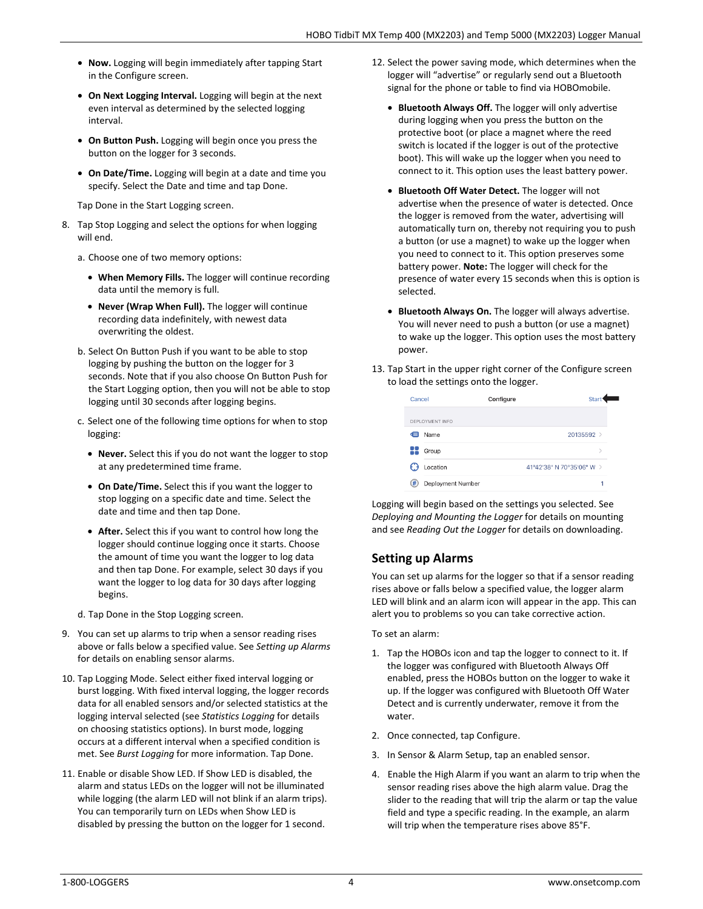- **Now.** Logging will begin immediately after tapping Start in the Configure screen.
- **On Next Logging Interval.** Logging will begin at the next even interval as determined by the selected logging interval.
- **On Button Push.** Logging will begin once you press the button on the logger for 3 seconds.
- **On Date/Time.** Logging will begin at a date and time you specify. Select the Date and time and tap Done.

Tap Done in the Start Logging screen.

- 8. Tap Stop Logging and select the options for when logging will end.
	- a. Choose one of two memory options:
		- **When Memory Fills.** The logger will continue recording data until the memory is full.
		- **Never (Wrap When Full).** The logger will continue recording data indefinitely, with newest data overwriting the oldest.
	- b. Select On Button Push if you want to be able to stop logging by pushing the button on the logger for 3 seconds. Note that if you also choose On Button Push for the Start Logging option, then you will not be able to stop logging until 30 seconds after logging begins.
	- c. Select one of the following time options for when to stop logging:
		- **Never.** Select this if you do not want the logger to stop at any predetermined time frame.
		- **On Date/Time.** Select this if you want the logger to stop logging on a specific date and time. Select the date and time and then tap Done.
		- **After.** Select this if you want to control how long the logger should continue logging once it starts. Choose the amount of time you want the logger to log data and then tap Done. For example, select 30 days if you want the logger to log data for 30 days after logging begins.
	- d. Tap Done in the Stop Logging screen.
- 9. You can set up alarms to trip when a sensor reading rises above or falls below a specified value. See *Setting up Alarms* for details on enabling sensor alarms.
- 10. Tap Logging Mode. Select either fixed interval logging or burst logging. With fixed interval logging, the logger records data for all enabled sensors and/or selected statistics at the logging interval selected (see *Statistics Logging* for details on choosing statistics options). In burst mode, logging occurs at a different interval when a specified condition is met. See *Burst Logging* for more information. Tap Done.
- 11. Enable or disable Show LED. If Show LED is disabled, the alarm and status LEDs on the logger will not be illuminated while logging (the alarm LED will not blink if an alarm trips). You can temporarily turn on LEDs when Show LED is disabled by pressing the button on the logger for 1 second.
- 12. Select the power saving mode, which determines when the logger will "advertise" or regularly send out a Bluetooth signal for the phone or table to find via HOBOmobile.
	- **Bluetooth Always Off.** The logger will only advertise during logging when you press the button on the protective boot (or place a magnet where the reed switch is located if the logger is out of the protective boot). This will wake up the logger when you need to connect to it. This option uses the least battery power.
	- **Bluetooth Off Water Detect.** The logger will not advertise when the presence of water is detected. Once the logger is removed from the water, advertising will automatically turn on, thereby not requiring you to push a button (or use a magnet) to wake up the logger when you need to connect to it. This option preserves some battery power. **Note:** The logger will check for the presence of water every 15 seconds when this is option is selected.
	- **Bluetooth Always On.** The logger will always advertise. You will never need to push a button (or use a magnet) to wake up the logger. This option uses the most battery power.
- 13. Tap Start in the upper right corner of the Configure screen to load the settings onto the logger.

| Cancel |                   | <b>Start</b><br>Configure |   |
|--------|-------------------|---------------------------|---|
|        | DEPLOYMENT INFO   |                           |   |
| æ      | Name              | 20135592 >                |   |
|        | Group             |                           | > |
|        | Location          | 41°42'38" N 70°35'06" W > |   |
| #      | Deployment Number |                           |   |

Logging will begin based on the settings you selected. See *Deploying and Mounting the Logger* for details on mounting and see *Reading Out the Logger* for details on downloading.

# **Setting up Alarms**

You can set up alarms for the logger so that if a sensor reading rises above or falls below a specified value, the logger alarm LED will blink and an alarm icon will appear in the app. This can alert you to problems so you can take corrective action.

To set an alarm:

- 1. Tap the HOBOs icon and tap the logger to connect to it. If the logger was configured with Bluetooth Always Off enabled, press the HOBOs button on the logger to wake it up. If the logger was configured with Bluetooth Off Water Detect and is currently underwater, remove it from the water.
- 2. Once connected, tap Configure.
- 3. In Sensor & Alarm Setup, tap an enabled sensor.
- 4. Enable the High Alarm if you want an alarm to trip when the sensor reading rises above the high alarm value. Drag the slider to the reading that will trip the alarm or tap the value field and type a specific reading. In the example, an alarm will trip when the temperature rises above 85°F.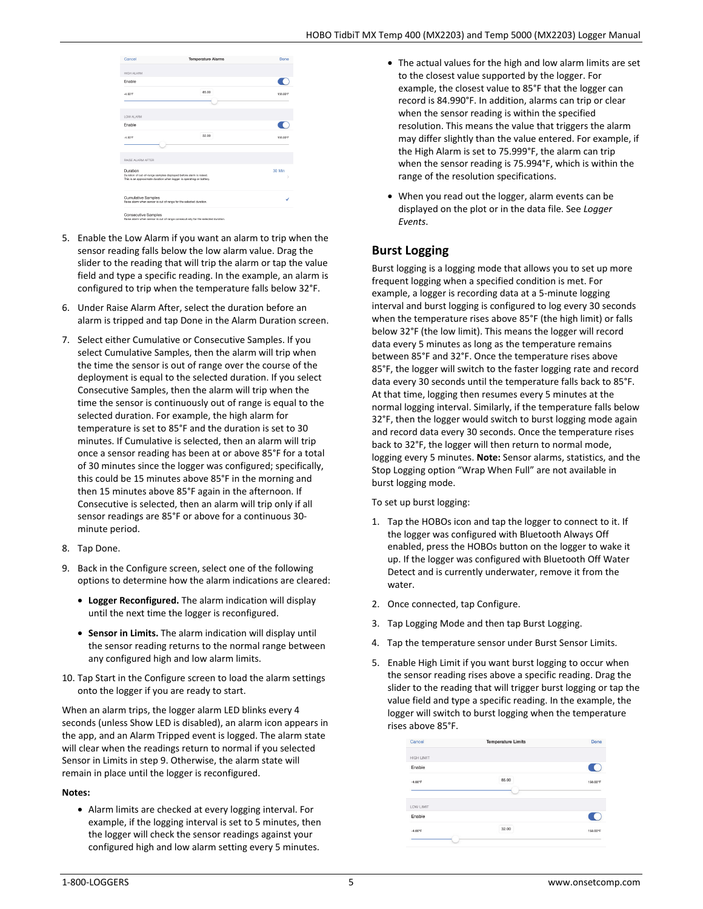| Cancel                                                                                                                                     | <b>Temperature Alarms</b> | Done          |
|--------------------------------------------------------------------------------------------------------------------------------------------|---------------------------|---------------|
|                                                                                                                                            |                           |               |
| <b>HIGH ALARM</b>                                                                                                                          |                           |               |
| Enable                                                                                                                                     |                           |               |
|                                                                                                                                            |                           |               |
| $-4.00$ <sup>*</sup> F                                                                                                                     | 85.00                     | 158.00°F      |
|                                                                                                                                            |                           |               |
|                                                                                                                                            |                           |               |
| LOW ALARM                                                                                                                                  |                           |               |
| Enable                                                                                                                                     |                           |               |
|                                                                                                                                            |                           |               |
| $-4.00^{\circ}$ F                                                                                                                          | 32.00                     | 158.00°F      |
|                                                                                                                                            |                           |               |
|                                                                                                                                            |                           |               |
| RAISE ALARM AFTER                                                                                                                          |                           |               |
| Duration                                                                                                                                   |                           | 30 Min        |
| Duration of out-of-range samples displayed before alarm is raised.<br>This is an approximate duration when logger is operating on battery. |                           | $\mathcal{P}$ |
|                                                                                                                                            |                           |               |
|                                                                                                                                            |                           |               |
| <b>Cumulative Samples</b><br>Raise alarm when sensor is out of range for the selected duration.                                            |                           | ✓             |
|                                                                                                                                            |                           |               |
| <b>Consecutive Samples</b><br>Raise alsen when concert is not of expan compositions for the colonial devation.                             |                           |               |

- 5. Enable the Low Alarm if you want an alarm to trip when the sensor reading falls below the low alarm value. Drag the slider to the reading that will trip the alarm or tap the value field and type a specific reading. In the example, an alarm is configured to trip when the temperature falls below 32°F.
- 6. Under Raise Alarm After, select the duration before an alarm is tripped and tap Done in the Alarm Duration screen.
- 7. Select either Cumulative or Consecutive Samples. If you select Cumulative Samples, then the alarm will trip when the time the sensor is out of range over the course of the deployment is equal to the selected duration. If you select Consecutive Samples, then the alarm will trip when the time the sensor is continuously out of range is equal to the selected duration. For example, the high alarm for temperature is set to 85°F and the duration is set to 30 minutes. If Cumulative is selected, then an alarm will trip once a sensor reading has been at or above 85°F for a total of 30 minutes since the logger was configured; specifically, this could be 15 minutes above 85°F in the morning and then 15 minutes above 85°F again in the afternoon. If Consecutive is selected, then an alarm will trip only if all sensor readings are 85°F or above for a continuous 30 minute period.
- 8. Tap Done.
- 9. Back in the Configure screen, select one of the following options to determine how the alarm indications are cleared:
	- **Logger Reconfigured.** The alarm indication will display until the next time the logger is reconfigured.
	- **Sensor in Limits.** The alarm indication will display until the sensor reading returns to the normal range between any configured high and low alarm limits.
- 10. Tap Start in the Configure screen to load the alarm settings onto the logger if you are ready to start.

When an alarm trips, the logger alarm LED blinks every 4 seconds (unless Show LED is disabled), an alarm icon appears in the app, and an Alarm Tripped event is logged. The alarm state will clear when the readings return to normal if you selected Sensor in Limits in step 9. Otherwise, the alarm state will remain in place until the logger is reconfigured.

### **Notes:**

• Alarm limits are checked at every logging interval. For example, if the logging interval is set to 5 minutes, then the logger will check the sensor readings against your configured high and low alarm setting every 5 minutes.

- The actual values for the high and low alarm limits are set to the closest value supported by the logger. For example, the closest value to 85°F that the logger can record is 84.990°F. In addition, alarms can trip or clear when the sensor reading is within the specified resolution. This means the value that triggers the alarm may differ slightly than the value entered. For example, if the High Alarm is set to 75.999°F, the alarm can trip when the sensor reading is 75.994°F, which is within the range of the resolution specifications.
- When you read out the logger, alarm events can be displayed on the plot or in the data file. See *Logger Events*.

# **Burst Logging**

Burst logging is a logging mode that allows you to set up more frequent logging when a specified condition is met. For example, a logger is recording data at a 5-minute logging interval and burst logging is configured to log every 30 seconds when the temperature rises above 85°F (the high limit) or falls below 32°F (the low limit). This means the logger will record data every 5 minutes as long as the temperature remains between 85°F and 32°F. Once the temperature rises above 85°F, the logger will switch to the faster logging rate and record data every 30 seconds until the temperature falls back to 85°F. At that time, logging then resumes every 5 minutes at the normal logging interval. Similarly, if the temperature falls below 32°F, then the logger would switch to burst logging mode again and record data every 30 seconds. Once the temperature rises back to 32°F, the logger will then return to normal mode, logging every 5 minutes. **Note:** Sensor alarms, statistics, and the Stop Logging option "Wrap When Full" are not available in burst logging mode.

To set up burst logging:

- 1. Tap the HOBOs icon and tap the logger to connect to it. If the logger was configured with Bluetooth Always Off enabled, press the HOBOs button on the logger to wake it up. If the logger was configured with Bluetooth Off Water Detect and is currently underwater, remove it from the water.
- 2. Once connected, tap Configure.
- 3. Tap Logging Mode and then tap Burst Logging.
- 4. Tap the temperature sensor under Burst Sensor Limits.
- 5. Enable High Limit if you want burst logging to occur when the sensor reading rises above a specific reading. Drag the slider to the reading that will trigger burst logging or tap the value field and type a specific reading. In the example, the logger will switch to burst logging when the temperature rises above 85°F.

| Cancel            | <b>Temperature Limits</b> | Done     |
|-------------------|---------------------------|----------|
| <b>HIGH LIMIT</b> |                           |          |
| Enable            |                           |          |
| $-4.00^{\circ}$ F | 85.00                     | 158.00°F |
|                   |                           |          |
| LOW LIMIT         |                           |          |
| Enable            |                           |          |
|                   | 32.00                     | 158.00°F |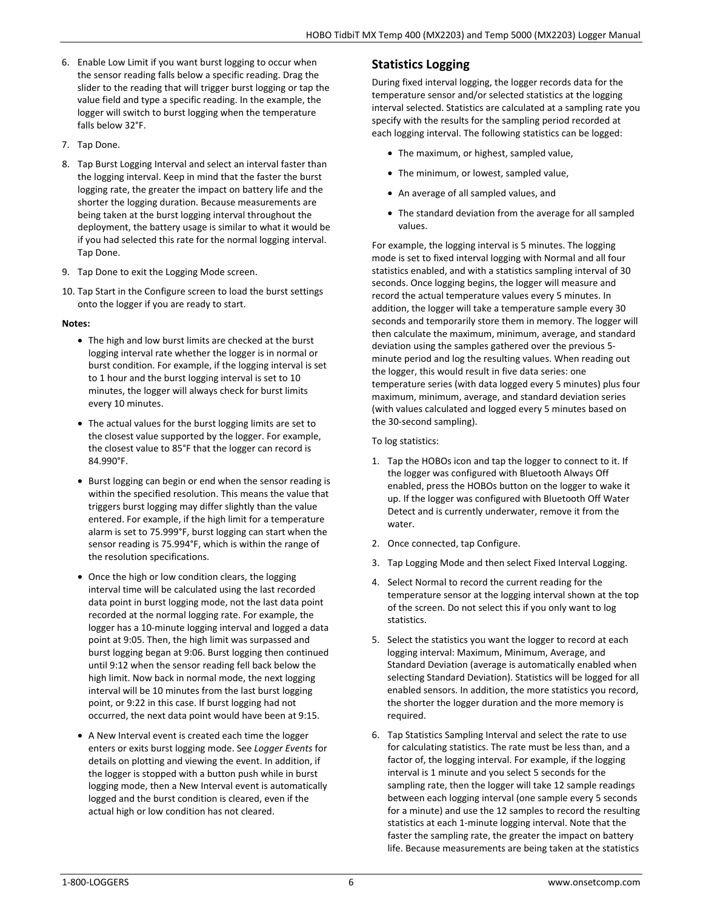- 6. Enable Low Limit if you want burst logging to occur when the sensor reading falls below a specific reading. Drag the slider to the reading that will trigger burst logging or tap the value field and type a specific reading. In the example, the logger will switch to burst logging when the temperature falls below 32°F.
- 7. Tap Done.
- 8. Tap Burst Logging Interval and select an interval faster than the logging interval. Keep in mind that the faster the burst logging rate, the greater the impact on battery life and the shorter the logging duration. Because measurements are being taken at the burst logging interval throughout the deployment, the battery usage is similar to what it would be if you had selected this rate for the normal logging interval. Tap Done.
- 9. Tap Done to exit the Logging Mode screen.
- 10. Tap Start in the Configure screen to load the burst settings onto the logger if you are ready to start.

### **Notes:**

- The high and low burst limits are checked at the burst logging interval rate whether the logger is in normal or burst condition. For example, if the logging interval is set to 1 hour and the burst logging interval is set to 10 minutes, the logger will always check for burst limits every 10 minutes.
- The actual values for the burst logging limits are set to the closest value supported by the logger. For example, the closest value to 85°F that the logger can record is 84.990°F.
- Burst logging can begin or end when the sensor reading is within the specified resolution. This means the value that triggers burst logging may differ slightly than the value entered. For example, if the high limit for a temperature alarm is set to 75.999°F, burst logging can start when the sensor reading is 75.994°F, which is within the range of the resolution specifications.
- Once the high or low condition clears, the logging interval time will be calculated using the last recorded data point in burst logging mode, not the last data point recorded at the normal logging rate. For example, the logger has a 10-minute logging interval and logged a data point at 9:05. Then, the high limit was surpassed and burst logging began at 9:06. Burst logging then continued until 9:12 when the sensor reading fell back below the high limit. Now back in normal mode, the next logging interval will be 10 minutes from the last burst logging point, or 9:22 in this case. If burst logging had not occurred, the next data point would have been at 9:15.
- A New Interval event is created each time the logger enters or exits burst logging mode. See *Logger Events* for details on plotting and viewing the event. In addition, if the logger is stopped with a button push while in burst logging mode, then a New Interval event is automatically logged and the burst condition is cleared, even if the actual high or low condition has not cleared.

## **Statistics Logging**

During fixed interval logging, the logger records data for the temperature sensor and/or selected statistics at the logging interval selected. Statistics are calculated at a sampling rate you specify with the results for the sampling period recorded at each logging interval. The following statistics can be logged:

- The maximum, or highest, sampled value,
- The minimum, or lowest, sampled value,
- An average of all sampled values, and
- The standard deviation from the average for all sampled values.

For example, the logging interval is 5 minutes. The logging mode is set to fixed interval logging with Normal and all four statistics enabled, and with a statistics sampling interval of 30 seconds. Once logging begins, the logger will measure and record the actual temperature values every 5 minutes. In addition, the logger will take a temperature sample every 30 seconds and temporarily store them in memory. The logger will then calculate the maximum, minimum, average, and standard deviation using the samples gathered over the previous 5 minute period and log the resulting values. When reading out the logger, this would result in five data series: one temperature series (with data logged every 5 minutes) plus four maximum, minimum, average, and standard deviation series (with values calculated and logged every 5 minutes based on the 30-second sampling).

### To log statistics:

- 1. Tap the HOBOs icon and tap the logger to connect to it. If the logger was configured with Bluetooth Always Off enabled, press the HOBOs button on the logger to wake it up. If the logger was configured with Bluetooth Off Water Detect and is currently underwater, remove it from the water.
- 2. Once connected, tap Configure.
- 3. Tap Logging Mode and then select Fixed Interval Logging.
- 4. Select Normal to record the current reading for the temperature sensor at the logging interval shown at the top of the screen. Do not select this if you only want to log statistics.
- 5. Select the statistics you want the logger to record at each logging interval: Maximum, Minimum, Average, and Standard Deviation (average is automatically enabled when selecting Standard Deviation). Statistics will be logged for all enabled sensors. In addition, the more statistics you record, the shorter the logger duration and the more memory is required.
- 6. Tap Statistics Sampling Interval and select the rate to use for calculating statistics. The rate must be less than, and a factor of, the logging interval. For example, if the logging interval is 1 minute and you select 5 seconds for the sampling rate, then the logger will take 12 sample readings between each logging interval (one sample every 5 seconds for a minute) and use the 12 samples to record the resulting statistics at each 1-minute logging interval. Note that the faster the sampling rate, the greater the impact on battery life. Because measurements are being taken at the statistics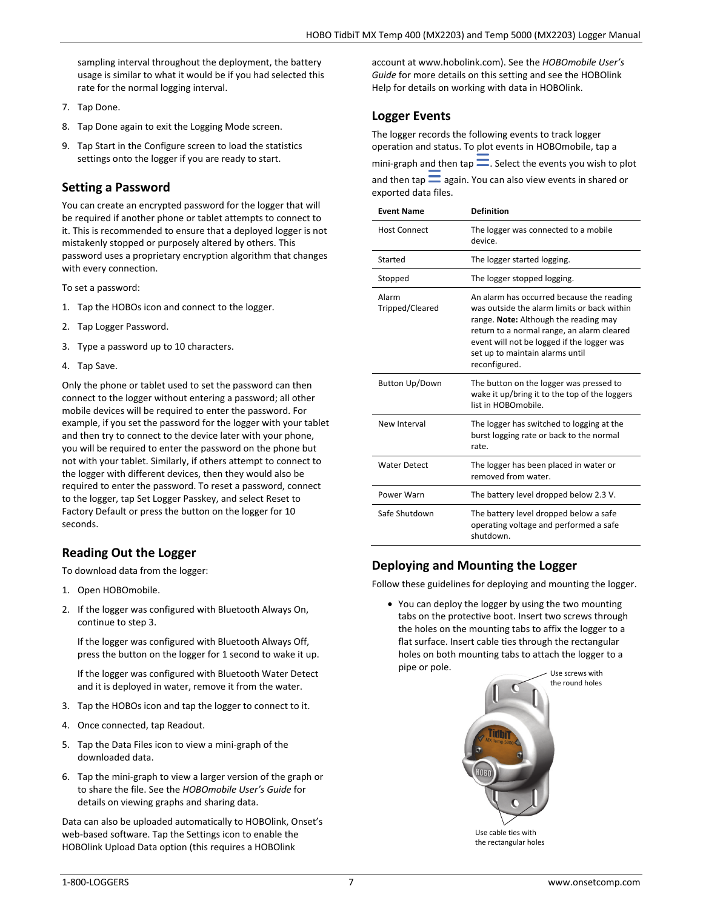sampling interval throughout the deployment, the battery usage is similar to what it would be if you had selected this rate for the normal logging interval.

- 7. Tap Done.
- 8. Tap Done again to exit the Logging Mode screen.
- 9. Tap Start in the Configure screen to load the statistics settings onto the logger if you are ready to start.

### **Setting a Password**

You can create an encrypted password for the logger that will be required if another phone or tablet attempts to connect to it. This is recommended to ensure that a deployed logger is not mistakenly stopped or purposely altered by others. This password uses a proprietary encryption algorithm that changes with every connection.

To set a password:

- 1. Tap the HOBOs icon and connect to the logger.
- 2. Tap Logger Password.
- 3. Type a password up to 10 characters.
- 4. Tap Save.

Only the phone or tablet used to set the password can then connect to the logger without entering a password; all other mobile devices will be required to enter the password. For example, if you set the password for the logger with your tablet and then try to connect to the device later with your phone, you will be required to enter the password on the phone but not with your tablet. Similarly, if others attempt to connect to the logger with different devices, then they would also be required to enter the password. To reset a password, connect to the logger, tap Set Logger Passkey, and select Reset to Factory Default or press the button on the logger for 10 seconds.

## **Reading Out the Logger**

To download data from the logger:

- 1. Open HOBOmobile.
- 2. If the logger was configured with Bluetooth Always On, continue to step 3.

If the logger was configured with Bluetooth Always Off, press the button on the logger for 1 second to wake it up.

If the logger was configured with Bluetooth Water Detect and it is deployed in water, remove it from the water.

- 3. Tap the HOBOs icon and tap the logger to connect to it.
- 4. Once connected, tap Readout.
- 5. Tap the Data Files icon to view a mini-graph of the downloaded data.
- 6. Tap the mini-graph to view a larger version of the graph or to share the file. See the *HOBOmobile User's Guide* for details on viewing graphs and sharing data.

Data can also be uploaded automatically to HOBOlink, Onset's web-based software. Tap the Settings icon to enable the HOBOlink Upload Data option (this requires a HOBOlink

account at www.hobolink.com). See the *HOBOmobile User's Guide* for more details on this setting and see the HOBOlink Help for details on working with data in HOBOlink.

## **Logger Events**

The logger records the following events to track logger operation and status. To plot events in HOBOmobile, tap a mini-graph and then tap  $\equiv$ . Select the events you wish to plot

and then tap  $\equiv$  again. You can also view events in shared or exported data files.

| <b>Event Name</b>        | <b>Definition</b>                                                                                                                                                                                                                                                                 |
|--------------------------|-----------------------------------------------------------------------------------------------------------------------------------------------------------------------------------------------------------------------------------------------------------------------------------|
| <b>Host Connect</b>      | The logger was connected to a mobile<br>device.                                                                                                                                                                                                                                   |
| Started                  | The logger started logging.                                                                                                                                                                                                                                                       |
| Stopped                  | The logger stopped logging.                                                                                                                                                                                                                                                       |
| Alarm<br>Tripped/Cleared | An alarm has occurred because the reading<br>was outside the alarm limits or back within<br>range. Note: Although the reading may<br>return to a normal range, an alarm cleared<br>event will not be logged if the logger was<br>set up to maintain alarms until<br>reconfigured. |
| <b>Button Up/Down</b>    | The button on the logger was pressed to<br>wake it up/bring it to the top of the loggers<br>list in HOBOmobile.                                                                                                                                                                   |
| New Interval             | The logger has switched to logging at the<br>burst logging rate or back to the normal<br>rate.                                                                                                                                                                                    |
| <b>Water Detect</b>      | The logger has been placed in water or<br>removed from water.                                                                                                                                                                                                                     |
| Power Warn               | The battery level dropped below 2.3 V.                                                                                                                                                                                                                                            |
| Safe Shutdown            | The battery level dropped below a safe<br>operating voltage and performed a safe<br>shutdown.                                                                                                                                                                                     |

# **Deploying and Mounting the Logger**

Follow these guidelines for deploying and mounting the logger.

• You can deploy the logger by using the two mounting tabs on the protective boot. Insert two screws through the holes on the mounting tabs to affix the logger to a flat surface. Insert cable ties through the rectangular holes on both mounting tabs to attach the logger to a pipe or pole. Use screws with



Use cable ties with the rectangular holes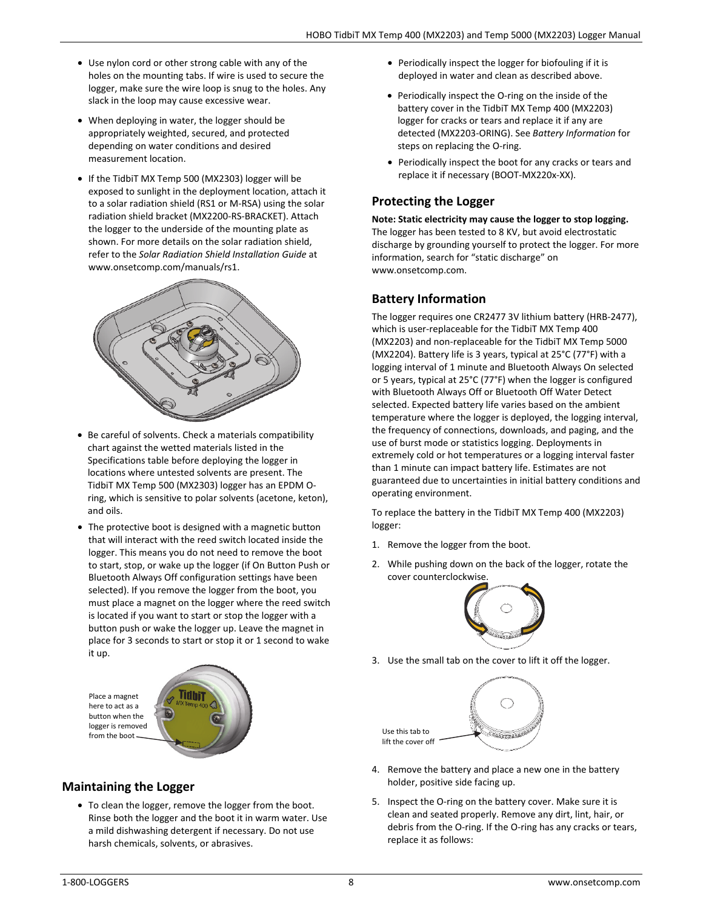- Use nylon cord or other strong cable with any of the holes on the mounting tabs. If wire is used to secure the logger, make sure the wire loop is snug to the holes. Any slack in the loop may cause excessive wear.
- When deploying in water, the logger should be appropriately weighted, secured, and protected depending on water conditions and desired measurement location.
- If the TidbiT MX Temp 500 (MX2303) logger will be exposed to sunlight in the deployment location, attach it to a solar radiation shield (RS1 or M-RSA) using the solar radiation shield bracket (MX2200-RS-BRACKET). Attach the logger to the underside of the mounting plate as shown. For more details on the solar radiation shield, refer to the *Solar Radiation Shield Installation Guide* at www.onsetcomp.com/manuals/rs1.



- Be careful of solvents. Check a materials compatibility chart against the wetted materials listed in the Specifications table before deploying the logger in locations where untested solvents are present. The TidbiT MX Temp 500 (MX2303) logger has an EPDM Oring, which is sensitive to polar solvents (acetone, keton), and oils.
- The protective boot is designed with a magnetic button that will interact with the reed switch located inside the logger. This means you do not need to remove the boot to start, stop, or wake up the logger (if On Button Push or Bluetooth Always Off configuration settings have been selected). If you remove the logger from the boot, you must place a magnet on the logger where the reed switch is located if you want to start or stop the logger with a button push or wake the logger up. Leave the magnet in place for 3 seconds to start or stop it or 1 second to wake it up.



- **Maintaining the Logger** 
	- To clean the logger, remove the logger from the boot. Rinse both the logger and the boot it in warm water. Use a mild dishwashing detergent if necessary. Do not use harsh chemicals, solvents, or abrasives.
- Periodically inspect the logger for biofouling if it is deployed in water and clean as described above.
- Periodically inspect the O-ring on the inside of the battery cover in the TidbiT MX Temp 400 (MX2203) logger for cracks or tears and replace it if any are detected (MX2203-ORING). See *Battery Information* for steps on replacing the O-ring.
- Periodically inspect the boot for any cracks or tears and replace it if necessary (BOOT-MX220x-XX).

## **Protecting the Logger**

**Note: Static electricity may cause the logger to stop logging.** The logger has been tested to 8 KV, but avoid electrostatic discharge by grounding yourself to protect the logger. For more information, search for "static discharge" on www.onsetcomp.com.

## **Battery Information**

The logger requires one CR2477 3V lithium battery (HRB-2477), which is user-replaceable for the TidbiT MX Temp 400 (MX2203) and non-replaceable for the TidbiT MX Temp 5000 (MX2204). Battery life is 3 years, typical at 25°C (77°F) with a logging interval of 1 minute and Bluetooth Always On selected or 5 years, typical at 25°C (77°F) when the logger is configured with Bluetooth Always Off or Bluetooth Off Water Detect selected. Expected battery life varies based on the ambient temperature where the logger is deployed, the logging interval, the frequency of connections, downloads, and paging, and the use of burst mode or statistics logging. Deployments in extremely cold or hot temperatures or a logging interval faster than 1 minute can impact battery life. Estimates are not guaranteed due to uncertainties in initial battery conditions and operating environment.

To replace the battery in the TidbiT MX Temp 400 (MX2203) logger:

- 1. Remove the logger from the boot.
- 2. While pushing down on the back of the logger, rotate the cover counterclockwise.



3. Use the small tab on the cover to lift it off the logger.



- 4. Remove the battery and place a new one in the battery holder, positive side facing up.
- 5. Inspect the O-ring on the battery cover. Make sure it is clean and seated properly. Remove any dirt, lint, hair, or debris from the O-ring. If the O-ring has any cracks or tears, replace it as follows: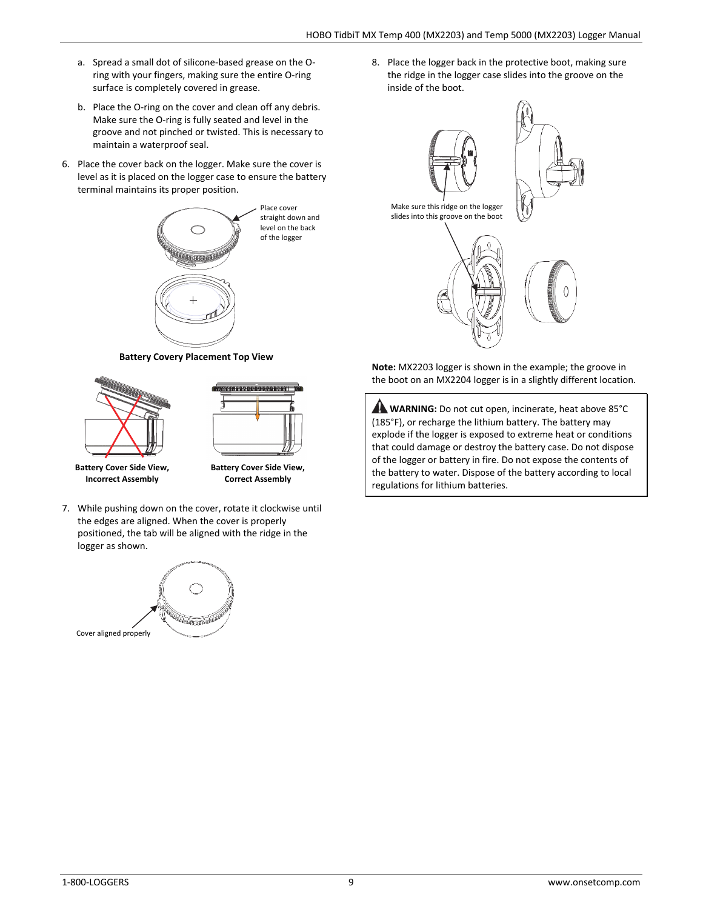- a. Spread a small dot of silicone-based grease on the Oring with your fingers, making sure the entire O-ring surface is completely covered in grease.
- b. Place the O-ring on the cover and clean off any debris. Make sure the O-ring is fully seated and level in the groove and not pinched or twisted. This is necessary to maintain a waterproof seal.
- 6. Place the cover back on the logger. Make sure the cover is level as it is placed on the logger case to ensure the battery terminal maintains its proper position.



**Battery Covery Placement Top View** 



7. While pushing down on the cover, rotate it clockwise until the edges are aligned. When the cover is properly positioned, the tab will be aligned with the ridge in the logger as shown.



8. Place the logger back in the protective boot, making sure the ridge in the logger case slides into the groove on the inside of the boot.



**Note:** MX2203 logger is shown in the example; the groove in the boot on an MX2204 logger is in a slightly different location.

**WARNING:** Do not cut open, incinerate, heat above 85°C (185°F), or recharge the lithium battery. The battery may explode if the logger is exposed to extreme heat or conditions that could damage or destroy the battery case. Do not dispose of the logger or battery in fire. Do not expose the contents of the battery to water. Dispose of the battery according to local regulations for lithium batteries.